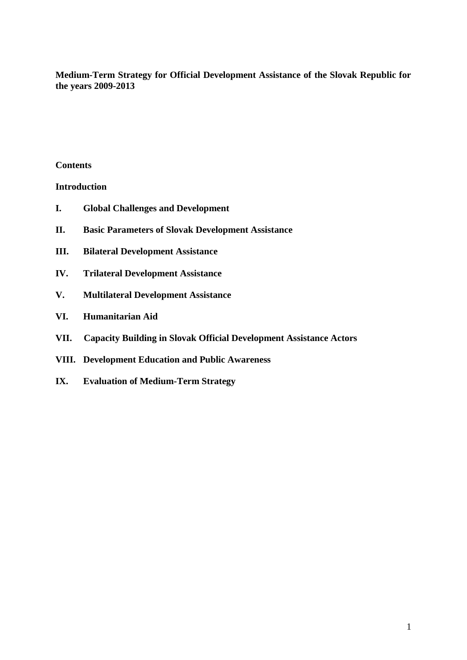**Medium-Term Strategy for Official Development Assistance of the Slovak Republic for the years 2009-2013**

### **Contents**

**Introduction**

- **I. Global Challenges and Development**
- **II. Basic Parameters of Slovak Development Assistance**
- **III. Bilateral Development Assistance**
- **IV. Trilateral Development Assistance**
- **V. Multilateral Development Assistance**
- **VI. Humanitarian Aid**
- **VII. Capacity Building in Slovak Official Development Assistance Actors**
- **VIII. Development Education and Public Awareness**
- **IX. Evaluation of Medium-Term Strategy**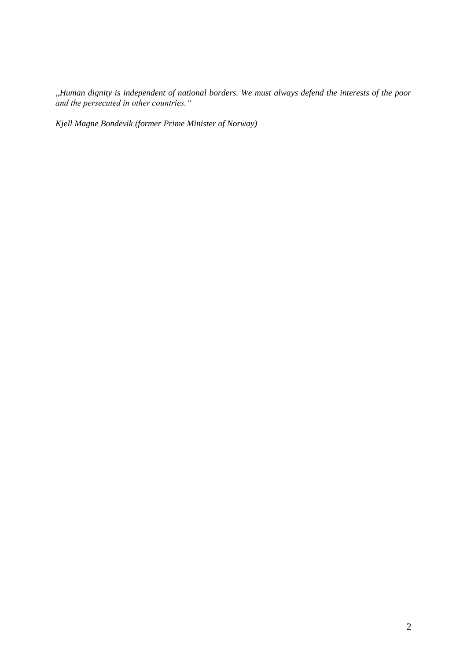"*Human dignity is independent of national borders. We must always defend the interests of the poor and the persecuted in other countries."*

*Kjell Magne Bondevik (former Prime Minister of Norway)*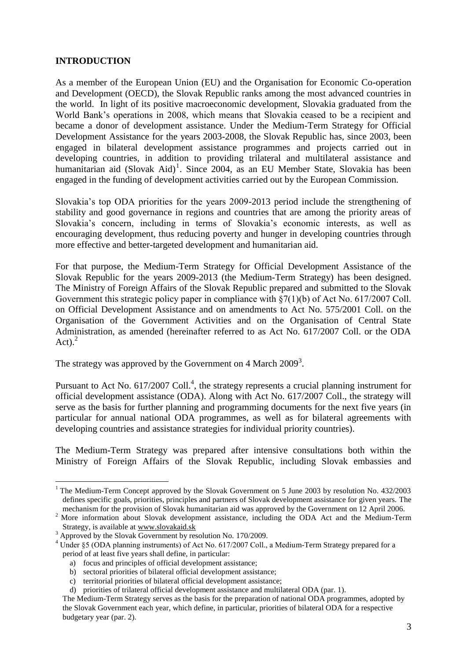### **INTRODUCTION**

As a member of the European Union (EU) and the Organisation for Economic Co-operation and Development (OECD), the Slovak Republic ranks among the most advanced countries in the world. In light of its positive macroeconomic development, Slovakia graduated from the World Bank"s operations in 2008, which means that Slovakia ceased to be a recipient and became a donor of development assistance. Under the Medium-Term Strategy for Official Development Assistance for the years 2003-2008, the Slovak Republic has, since 2003, been engaged in bilateral development assistance programmes and projects carried out in developing countries, in addition to providing trilateral and multilateral assistance and humanitarian aid (Slovak Aid)<sup>1</sup>. Since 2004, as an EU Member State, Slovakia has been engaged in the funding of development activities carried out by the European Commission.

Slovakia's top ODA priorities for the years 2009-2013 period include the strengthening of stability and good governance in regions and countries that are among the priority areas of Slovakia"s concern, including in terms of Slovakia"s economic interests, as well as encouraging development, thus reducing poverty and hunger in developing countries through more effective and better-targeted development and humanitarian aid.

For that purpose, the Medium-Term Strategy for Official Development Assistance of the Slovak Republic for the years 2009-2013 (the Medium-Term Strategy) has been designed. The Ministry of Foreign Affairs of the Slovak Republic prepared and submitted to the Slovak Government this strategic policy paper in compliance with §7(1)(b) of Act No. 617/2007 Coll. on Official Development Assistance and on amendments to Act No. 575/2001 Coll. on the Organisation of the Government Activities and on the Organisation of Central State Administration, as amended (hereinafter referred to as Act No. 617/2007 Coll. or the ODA Act). $^{2}$ 

The strategy was approved by the Government on 4 March  $2009^3$ .

Pursuant to Act No. 617/2007 Coll.<sup>4</sup>, the strategy represents a crucial planning instrument for official development assistance (ODA). Along with Act No. 617/2007 Coll., the strategy will serve as the basis for further planning and programming documents for the next five years (in particular for annual national ODA programmes, as well as for bilateral agreements with developing countries and assistance strategies for individual priority countries).

The Medium-Term Strategy was prepared after intensive consultations both within the Ministry of Foreign Affairs of the Slovak Republic, including Slovak embassies and

<sup>&</sup>lt;sup>1</sup> The Medium-Term Concept approved by the Slovak Government on 5 June 2003 by resolution No. 432/2003 defines specific goals, priorities, principles and partners of Slovak development assistance for given years. The mechanism for the provision of Slovak humanitarian aid was approved by the Government on 12 April 2006.

<sup>&</sup>lt;sup>2</sup> More information about Slovak development assistance, including the ODA Act and the Medium-Term Strategy, is available at [www.slovakaid.sk](http://www.slovakaid.sk/)

<sup>&</sup>lt;sup>3</sup> Approved by the Slovak Government by resolution No. 170/2009.

<sup>&</sup>lt;sup>4</sup> Under §5 (ODA planning instruments) of Act No. 617/2007 Coll., a Medium-Term Strategy prepared for a period of at least five years shall define, in particular:

a) focus and principles of official development assistance;

b) sectoral priorities of bilateral official development assistance;

c) territorial priorities of bilateral official development assistance;

d) priorities of trilateral official development assistance and multilateral ODA (par. 1).

The Medium-Term Strategy serves as the basis for the preparation of national ODA programmes, adopted by the Slovak Government each year, which define, in particular, priorities of bilateral ODA for a respective budgetary year (par. 2).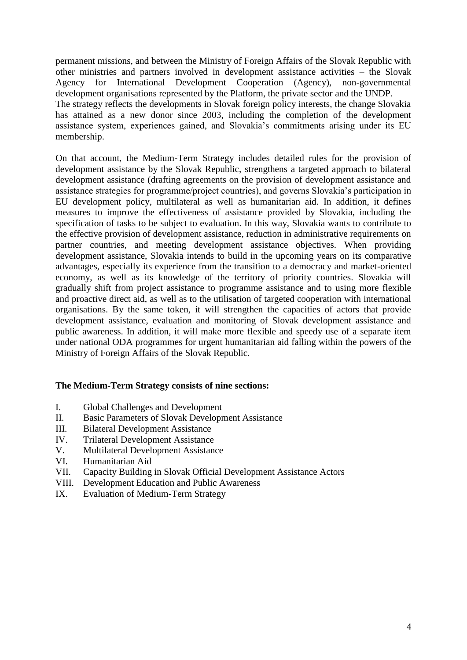permanent missions, and between the Ministry of Foreign Affairs of the Slovak Republic with other ministries and partners involved in development assistance activities – the Slovak Agency for International Development Cooperation (Agency), non-governmental development organisations represented by the Platform, the private sector and the UNDP. The strategy reflects the developments in Slovak foreign policy interests, the change Slovakia has attained as a new donor since 2003, including the completion of the development assistance system, experiences gained, and Slovakia"s commitments arising under its EU membership.

On that account, the Medium-Term Strategy includes detailed rules for the provision of development assistance by the Slovak Republic, strengthens a targeted approach to bilateral development assistance (drafting agreements on the provision of development assistance and assistance strategies for programme/project countries), and governs Slovakia"s participation in EU development policy, multilateral as well as humanitarian aid. In addition, it defines measures to improve the effectiveness of assistance provided by Slovakia, including the specification of tasks to be subject to evaluation. In this way, Slovakia wants to contribute to the effective provision of development assistance, reduction in administrative requirements on partner countries, and meeting development assistance objectives. When providing development assistance, Slovakia intends to build in the upcoming years on its comparative advantages, especially its experience from the transition to a democracy and market-oriented economy, as well as its knowledge of the territory of priority countries. Slovakia will gradually shift from project assistance to programme assistance and to using more flexible and proactive direct aid, as well as to the utilisation of targeted cooperation with international organisations. By the same token, it will strengthen the capacities of actors that provide development assistance, evaluation and monitoring of Slovak development assistance and public awareness. In addition, it will make more flexible and speedy use of a separate item under national ODA programmes for urgent humanitarian aid falling within the powers of the Ministry of Foreign Affairs of the Slovak Republic.

## **The Medium-Term Strategy consists of nine sections:**

- I. Global Challenges and Development
- II. Basic Parameters of Slovak Development Assistance
- III. Bilateral Development Assistance
- IV. Trilateral Development Assistance
- V. Multilateral Development Assistance
- VI. Humanitarian Aid
- VII. Capacity Building in Slovak Official Development Assistance Actors
- VIII. Development Education and Public Awareness
- IX. Evaluation of Medium-Term Strategy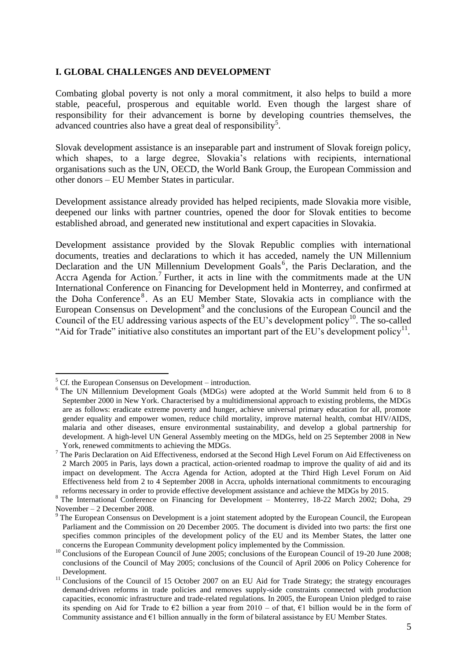### **I. GLOBAL CHALLENGES AND DEVELOPMENT**

Combating global poverty is not only a moral commitment, it also helps to build a more stable, peaceful, prosperous and equitable world. Even though the largest share of responsibility for their advancement is borne by developing countries themselves, the advanced countries also have a great deal of responsibility<sup>5</sup>.

Slovak development assistance is an inseparable part and instrument of Slovak foreign policy, which shapes, to a large degree, Slovakia's relations with recipients, international organisations such as the UN, OECD, the World Bank Group, the European Commission and other donors – EU Member States in particular.

Development assistance already provided has helped recipients, made Slovakia more visible, deepened our links with partner countries, opened the door for Slovak entities to become established abroad, and generated new institutional and expert capacities in Slovakia.

Development assistance provided by the Slovak Republic complies with international documents, treaties and declarations to which it has acceded, namely the UN Millennium Declaration and the UN Millennium Development Goals<sup>6</sup>, the Paris Declaration, and the Accra Agenda for Action.<sup>7</sup> Further, it acts in line with the commitments made at the UN International Conference on Financing for Development held in Monterrey, and confirmed at the Doha Conference<sup>8</sup>. As an EU Member State, Slovakia acts in compliance with the European Consensus on Development<sup>9</sup> and the conclusions of the European Council and the Council of the EU addressing various aspects of the EU's development policy<sup>10</sup>. The so-called "Aid for Trade" initiative also constitutes an important part of the EU's development policy<sup>11</sup>.

<u>.</u>

 $5$  Cf. the European Consensus on Development – introduction.

<sup>&</sup>lt;sup>6</sup> The UN Millennium Development Goals (MDGs) were adopted at the World Summit held from 6 to 8 September 2000 in New York. Characterised by a multidimensional approach to existing problems, the MDGs are as follows: eradicate extreme poverty and hunger, achieve universal primary education for all, promote gender equality and empower women, reduce child mortality, improve maternal health, combat HIV/AIDS, malaria and other diseases, ensure environmental sustainability, and develop a global partnership for development. A high-level UN General Assembly meeting on the MDGs, held on 25 September 2008 in New York, renewed commitments to achieving the MDGs.

<sup>&</sup>lt;sup>7</sup> The Paris Declaration on Aid Effectiveness, endorsed at the Second High Level Forum on Aid Effectiveness on 2 March 2005 in Paris, lays down a practical, action-oriented roadmap to improve the quality of aid and its impact on development. The Accra Agenda for Action, adopted at the Third High Level Forum on Aid Effectiveness held from 2 to 4 September 2008 in Accra, upholds international commitments to encouraging reforms necessary in order to provide effective development assistance and achieve the MDGs by 2015.

<sup>8</sup> The International Conference on Financing for Development – Monterrey, 18-22 March 2002; Doha, 29 November – 2 December 2008.

<sup>&</sup>lt;sup>9</sup> The European Consensus on Development is a joint statement adopted by the European Council, the European Parliament and the Commission on 20 December 2005. The document is divided into two parts: the first one specifies common principles of the development policy of the EU and its Member States, the latter one concerns the European Community development policy implemented by the Commission.

<sup>&</sup>lt;sup>10</sup> Conclusions of the European Council of June 2005; conclusions of the European Council of 19-20 June 2008; conclusions of the Council of May 2005; conclusions of the Council of April 2006 on Policy Coherence for Development.

<sup>&</sup>lt;sup>11</sup> Conclusions of the Council of 15 October 2007 on an EU Aid for Trade Strategy; the strategy encourages demand-driven reforms in trade policies and removes supply-side constraints connected with production capacities, economic infrastructure and trade-related regulations. In 2005, the European Union pledged to raise its spending on Aid for Trade to  $\epsilon$ 2 billion a year from 2010 – of that,  $\epsilon$ 1 billion would be in the form of Community assistance and  $E1$  billion annually in the form of bilateral assistance by EU Member States.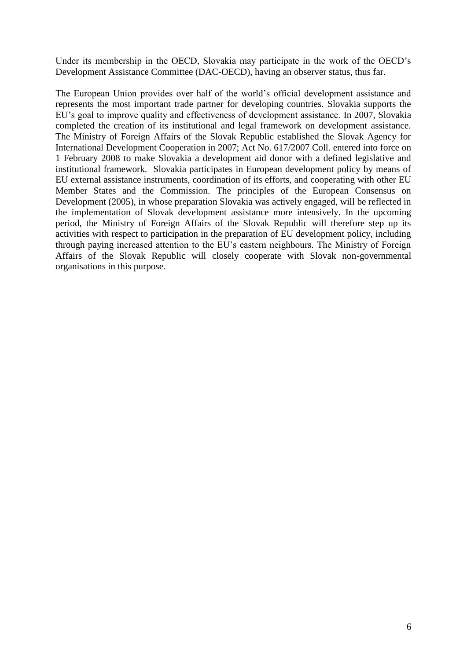Under its membership in the OECD, Slovakia may participate in the work of the OECD"s Development Assistance Committee (DAC-OECD), having an observer status, thus far.

The European Union provides over half of the world"s official development assistance and represents the most important trade partner for developing countries. Slovakia supports the EU"s goal to improve quality and effectiveness of development assistance. In 2007, Slovakia completed the creation of its institutional and legal framework on development assistance. The Ministry of Foreign Affairs of the Slovak Republic established the Slovak Agency for International Development Cooperation in 2007; Act No. 617/2007 Coll. entered into force on 1 February 2008 to make Slovakia a development aid donor with a defined legislative and institutional framework. Slovakia participates in European development policy by means of EU external assistance instruments, coordination of its efforts, and cooperating with other EU Member States and the Commission. The principles of the European Consensus on Development (2005), in whose preparation Slovakia was actively engaged, will be reflected in the implementation of Slovak development assistance more intensively. In the upcoming period, the Ministry of Foreign Affairs of the Slovak Republic will therefore step up its activities with respect to participation in the preparation of EU development policy, including through paying increased attention to the EU"s eastern neighbours. The Ministry of Foreign Affairs of the Slovak Republic will closely cooperate with Slovak non-governmental organisations in this purpose.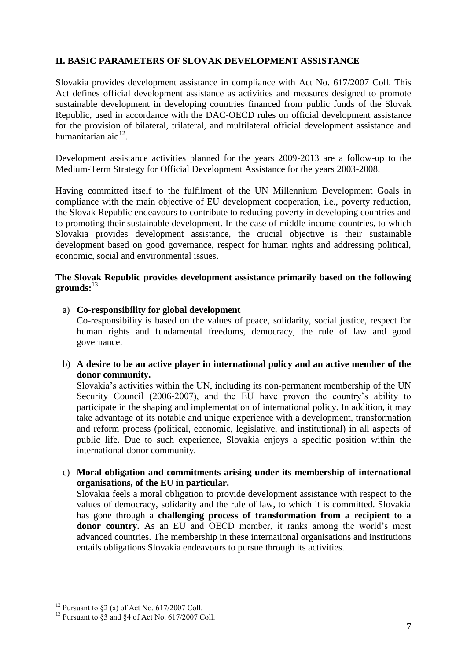## **II. BASIC PARAMETERS OF SLOVAK DEVELOPMENT ASSISTANCE**

Slovakia provides development assistance in compliance with Act No. 617/2007 Coll. This Act defines official development assistance as activities and measures designed to promote sustainable development in developing countries financed from public funds of the Slovak Republic, used in accordance with the DAC-OECD rules on official development assistance for the provision of bilateral, trilateral, and multilateral official development assistance and humanitarian aid $12$ .

Development assistance activities planned for the years 2009-2013 are a follow-up to the Medium-Term Strategy for Official Development Assistance for the years 2003-2008.

Having committed itself to the fulfilment of the UN Millennium Development Goals in compliance with the main objective of EU development cooperation, i.e., poverty reduction, the Slovak Republic endeavours to contribute to reducing poverty in developing countries and to promoting their sustainable development. In the case of middle income countries, to which Slovakia provides development assistance, the crucial objective is their sustainable development based on good governance, respect for human rights and addressing political, economic, social and environmental issues.

### **The Slovak Republic provides development assistance primarily based on the following grounds:**<sup>13</sup>

- a) **Co-responsibility for global development**  Co-responsibility is based on the values of peace, solidarity, social justice, respect for human rights and fundamental freedoms, democracy, the rule of law and good governance.
- b) **A desire to be an active player in international policy and an active member of the donor community.**

Slovakia's activities within the UN, including its non-permanent membership of the UN Security Council (2006-2007), and the EU have proven the country's ability to participate in the shaping and implementation of international policy. In addition, it may take advantage of its notable and unique experience with a development, transformation and reform process (political, economic, legislative, and institutional) in all aspects of public life. Due to such experience, Slovakia enjoys a specific position within the international donor community.

c) **Moral obligation and commitments arising under its membership of international organisations, of the EU in particular.**

Slovakia feels a moral obligation to provide development assistance with respect to the values of democracy, solidarity and the rule of law, to which it is committed. Slovakia has gone through a **challenging process of transformation from a recipient to a donor country.** As an EU and OECD member, it ranks among the world's most advanced countries. The membership in these international organisations and institutions entails obligations Slovakia endeavours to pursue through its activities.

 $12$  Pursuant to §2 (a) of Act No. 617/2007 Coll.

<sup>&</sup>lt;sup>13</sup> Pursuant to  $\S$ 3 and  $\S$ 4 of Act No. 617/2007 Coll.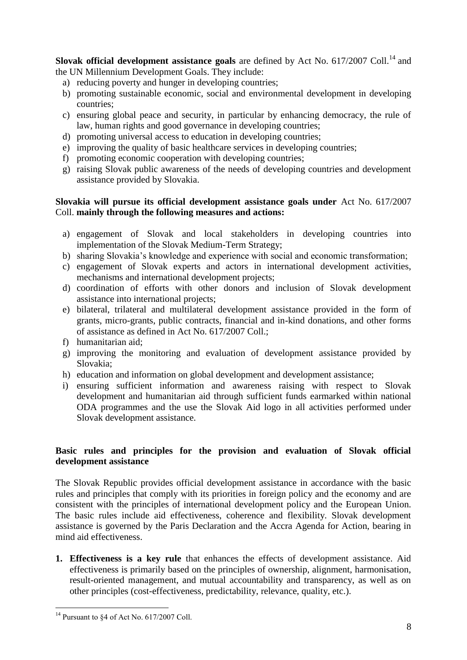**Slovak official development assistance goals** are defined by Act No. 617/2007 Coll.<sup>14</sup> and the UN Millennium Development Goals. They include:

- a) reducing poverty and hunger in developing countries;
- b) promoting sustainable economic, social and environmental development in developing countries;
- c) ensuring global peace and security, in particular by enhancing democracy, the rule of law, human rights and good governance in developing countries;
- d) promoting universal access to education in developing countries;
- e) improving the quality of basic healthcare services in developing countries;
- f) promoting economic cooperation with developing countries;
- g) raising Slovak public awareness of the needs of developing countries and development assistance provided by Slovakia.

## **Slovakia will pursue its official development assistance goals under** Act No. 617/2007 Coll. **mainly through the following measures and actions:**

- a) engagement of Slovak and local stakeholders in developing countries into implementation of the Slovak Medium-Term Strategy;
- b) sharing Slovakia"s knowledge and experience with social and economic transformation;
- c) engagement of Slovak experts and actors in international development activities, mechanisms and international development projects;
- d) coordination of efforts with other donors and inclusion of Slovak development assistance into international projects;
- e) bilateral, trilateral and multilateral development assistance provided in the form of grants, micro-grants, public contracts, financial and in-kind donations, and other forms of assistance as defined in Act No. 617/2007 Coll.;
- f) humanitarian aid;
- g) improving the monitoring and evaluation of development assistance provided by Slovakia;
- h) education and information on global development and development assistance;
- i) ensuring sufficient information and awareness raising with respect to Slovak development and humanitarian aid through sufficient funds earmarked within national ODA programmes and the use the Slovak Aid logo in all activities performed under Slovak development assistance.

### **Basic rules and principles for the provision and evaluation of Slovak official development assistance**

The Slovak Republic provides official development assistance in accordance with the basic rules and principles that comply with its priorities in foreign policy and the economy and are consistent with the principles of international development policy and the European Union. The basic rules include aid effectiveness, coherence and flexibility. Slovak development assistance is governed by the Paris Declaration and the Accra Agenda for Action, bearing in mind aid effectiveness.

**1. Effectiveness is a key rule** that enhances the effects of development assistance. Aid effectiveness is primarily based on the principles of ownership, alignment, harmonisation, result-oriented management, and mutual accountability and transparency, as well as on other principles (cost-effectiveness, predictability, relevance, quality, etc.).

<sup>1</sup>  $14$  Pursuant to §4 of Act No. 617/2007 Coll.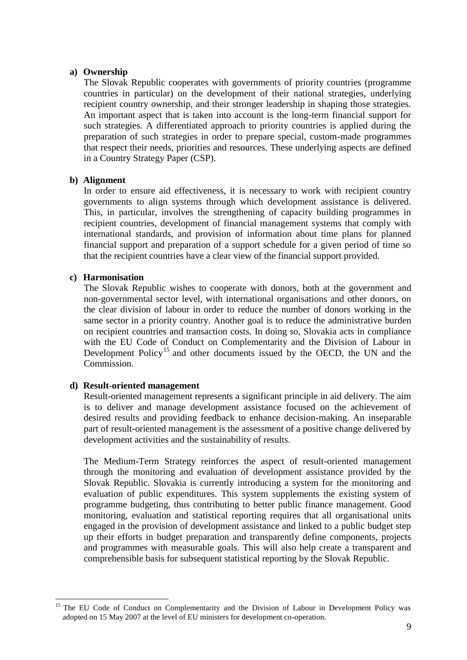### **a) Ownership**

The Slovak Republic cooperates with governments of priority countries (programme countries in particular) on the development of their national strategies, underlying recipient country ownership, and their stronger leadership in shaping those strategies. An important aspect that is taken into account is the long-term financial support for such strategies. A differentiated approach to priority countries is applied during the preparation of such strategies in order to prepare special, custom-made programmes that respect their needs, priorities and resources. These underlying aspects are defined in a Country Strategy Paper (CSP).

### **b) Alignment**

In order to ensure aid effectiveness, it is necessary to work with recipient country governments to align systems through which development assistance is delivered. This, in particular, involves the strengthening of capacity building programmes in recipient countries, development of financial management systems that comply with international standards, and provision of information about time plans for planned financial support and preparation of a support schedule for a given period of time so that the recipient countries have a clear view of the financial support provided.

### **c) Harmonisation**

1

The Slovak Republic wishes to cooperate with donors, both at the government and non-governmental sector level, with international organisations and other donors, on the clear division of labour in order to reduce the number of donors working in the same sector in a priority country. Another goal is to reduce the administrative burden on recipient countries and transaction costs. In doing so, Slovakia acts in compliance with the EU Code of Conduct on Complementarity and the Division of Labour in Development Policy<sup>15</sup> and other documents issued by the OECD, the UN and the Commission.

### **d) Result-oriented management**

Result-oriented management represents a significant principle in aid delivery. The aim is to deliver and manage development assistance focused on the achievement of desired results and providing feedback to enhance decision-making. An inseparable part of result-oriented management is the assessment of a positive change delivered by development activities and the sustainability of results.

The Medium-Term Strategy reinforces the aspect of result-oriented management through the monitoring and evaluation of development assistance provided by the Slovak Republic. Slovakia is currently introducing a system for the monitoring and evaluation of public expenditures. This system supplements the existing system of programme budgeting, thus contributing to better public finance management. Good monitoring, evaluation and statistical reporting requires that all organisational units engaged in the provision of development assistance and linked to a public budget step up their efforts in budget preparation and transparently define components, projects and programmes with measurable goals. This will also help create a transparent and comprehensible basis for subsequent statistical reporting by the Slovak Republic.

<sup>&</sup>lt;sup>15</sup> The EU Code of Conduct on Complementarity and the Division of Labour in Development Policy was adopted on 15 May 2007 at the level of EU ministers for development co-operation.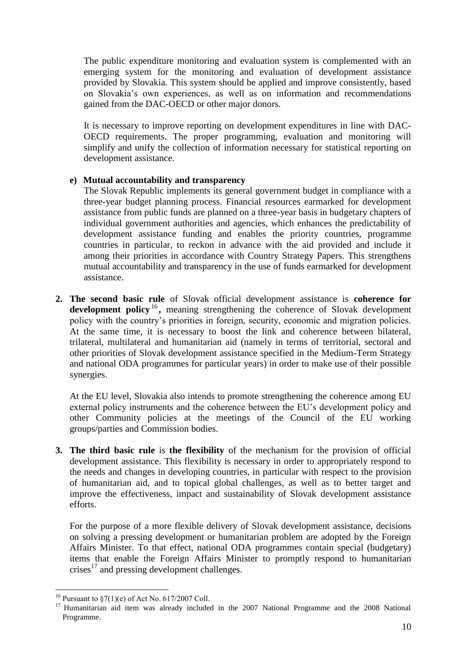The public expenditure monitoring and evaluation system is complemented with an emerging system for the monitoring and evaluation of development assistance provided by Slovakia. This system should be applied and improve consistently, based on Slovakia"s own experiences, as well as on information and recommendations gained from the DAC-OECD or other major donors.

It is necessary to improve reporting on development expenditures in line with DAC-OECD requirements. The proper programming, evaluation and monitoring will simplify and unify the collection of information necessary for statistical reporting on development assistance.

### **e) Mutual accountability and transparency**

The Slovak Republic implements its general government budget in compliance with a three-year budget planning process. Financial resources earmarked for development assistance from public funds are planned on a three-year basis in budgetary chapters of individual government authorities and agencies, which enhances the predictability of development assistance funding and enables the priority countries, programme countries in particular, to reckon in advance with the aid provided and include it among their priorities in accordance with Country Strategy Papers. This strengthens mutual accountability and transparency in the use of funds earmarked for development assistance.

**2. The second basic rule** of Slovak official development assistance is **coherence for**  development policy<sup>16</sup>, meaning strengthening the coherence of Slovak development policy with the country"s priorities in foreign, security, economic and migration policies. At the same time, it is necessary to boost the link and coherence between bilateral, trilateral, multilateral and humanitarian aid (namely in terms of territorial, sectoral and other priorities of Slovak development assistance specified in the Medium-Term Strategy and national ODA programmes for particular years) in order to make use of their possible synergies.

At the EU level, Slovakia also intends to promote strengthening the coherence among EU external policy instruments and the coherence between the EU"s development policy and other Community policies at the meetings of the Council of the EU working groups/parties and Commission bodies.

**3. The third basic rule** is **the flexibility** of the mechanism for the provision of official development assistance. This flexibility is necessary in order to appropriately respond to the needs and changes in developing countries, in particular with respect to the provision of humanitarian aid, and to topical global challenges, as well as to better target and improve the effectiveness, impact and sustainability of Slovak development assistance efforts.

For the purpose of a more flexible delivery of Slovak development assistance, decisions on solving a pressing development or humanitarian problem are adopted by the Foreign Affairs Minister. To that effect, national ODA programmes contain special (budgetary) items that enable the Foreign Affairs Minister to promptly respond to humanitarian crises $17$  and pressing development challenges.

<u>.</u>

<sup>&</sup>lt;sup>16</sup> Pursuant to  $\S7(1)(e)$  of Act No. 617/2007 Coll.

<sup>&</sup>lt;sup>17</sup> Humanitarian aid item was already included in the 2007 National Programme and the 2008 National Programme.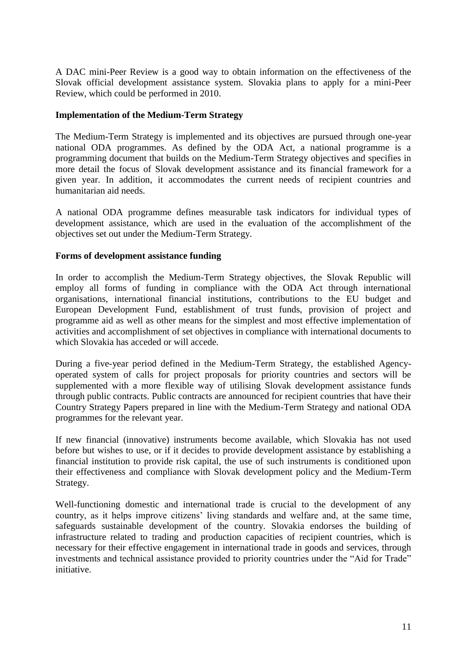A DAC mini-Peer Review is a good way to obtain information on the effectiveness of the Slovak official development assistance system. Slovakia plans to apply for a mini-Peer Review, which could be performed in 2010.

### **Implementation of the Medium-Term Strategy**

The Medium-Term Strategy is implemented and its objectives are pursued through one-year national ODA programmes. As defined by the ODA Act, a national programme is a programming document that builds on the Medium-Term Strategy objectives and specifies in more detail the focus of Slovak development assistance and its financial framework for a given year. In addition, it accommodates the current needs of recipient countries and humanitarian aid needs.

A national ODA programme defines measurable task indicators for individual types of development assistance, which are used in the evaluation of the accomplishment of the objectives set out under the Medium-Term Strategy.

### **Forms of development assistance funding**

In order to accomplish the Medium-Term Strategy objectives, the Slovak Republic will employ all forms of funding in compliance with the ODA Act through international organisations, international financial institutions, contributions to the EU budget and European Development Fund, establishment of trust funds, provision of project and programme aid as well as other means for the simplest and most effective implementation of activities and accomplishment of set objectives in compliance with international documents to which Slovakia has acceded or will accede.

During a five-year period defined in the Medium-Term Strategy, the established Agencyoperated system of calls for project proposals for priority countries and sectors will be supplemented with a more flexible way of utilising Slovak development assistance funds through public contracts. Public contracts are announced for recipient countries that have their Country Strategy Papers prepared in line with the Medium-Term Strategy and national ODA programmes for the relevant year.

If new financial (innovative) instruments become available, which Slovakia has not used before but wishes to use, or if it decides to provide development assistance by establishing a financial institution to provide risk capital, the use of such instruments is conditioned upon their effectiveness and compliance with Slovak development policy and the Medium-Term Strategy.

Well-functioning domestic and international trade is crucial to the development of any country, as it helps improve citizens" living standards and welfare and, at the same time, safeguards sustainable development of the country. Slovakia endorses the building of infrastructure related to trading and production capacities of recipient countries, which is necessary for their effective engagement in international trade in goods and services, through investments and technical assistance provided to priority countries under the "Aid for Trade" initiative.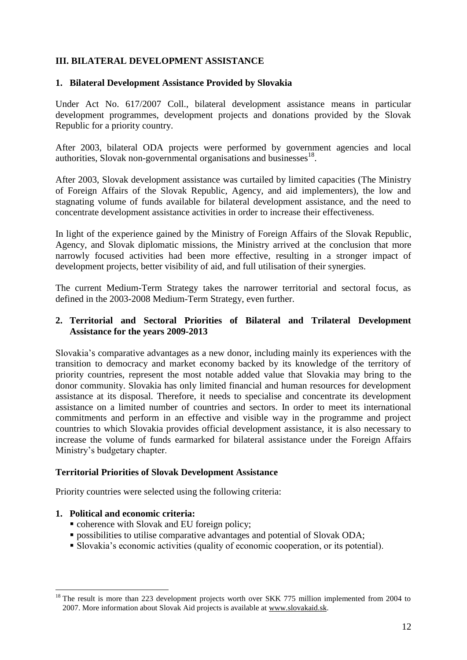## **III. BILATERAL DEVELOPMENT ASSISTANCE**

## **1. Bilateral Development Assistance Provided by Slovakia**

Under Act No. 617/2007 Coll., bilateral development assistance means in particular development programmes, development projects and donations provided by the Slovak Republic for a priority country.

After 2003, bilateral ODA projects were performed by government agencies and local authorities, Slovak non-governmental organisations and businesses<sup>18</sup>.

After 2003, Slovak development assistance was curtailed by limited capacities (The Ministry of Foreign Affairs of the Slovak Republic, Agency, and aid implementers), the low and stagnating volume of funds available for bilateral development assistance, and the need to concentrate development assistance activities in order to increase their effectiveness.

In light of the experience gained by the Ministry of Foreign Affairs of the Slovak Republic, Agency, and Slovak diplomatic missions, the Ministry arrived at the conclusion that more narrowly focused activities had been more effective, resulting in a stronger impact of development projects, better visibility of aid, and full utilisation of their synergies.

The current Medium-Term Strategy takes the narrower territorial and sectoral focus, as defined in the 2003-2008 Medium-Term Strategy, even further.

### **2. Territorial and Sectoral Priorities of Bilateral and Trilateral Development Assistance for the years 2009-2013**

Slovakia"s comparative advantages as a new donor, including mainly its experiences with the transition to democracy and market economy backed by its knowledge of the territory of priority countries, represent the most notable added value that Slovakia may bring to the donor community. Slovakia has only limited financial and human resources for development assistance at its disposal. Therefore, it needs to specialise and concentrate its development assistance on a limited number of countries and sectors. In order to meet its international commitments and perform in an effective and visible way in the programme and project countries to which Slovakia provides official development assistance, it is also necessary to increase the volume of funds earmarked for bilateral assistance under the Foreign Affairs Ministry"s budgetary chapter.

### **Territorial Priorities of Slovak Development Assistance**

Priority countries were selected using the following criteria:

## **1. Political and economic criteria:**

- coherence with Slovak and EU foreign policy;
- **possibilities to utilise comparative advantages and potential of Slovak ODA;**
- Slovakia"s economic activities (quality of economic cooperation, or its potential).

<sup>&</sup>lt;u>.</u> <sup>18</sup> The result is more than 223 development projects worth over SKK 775 million implemented from 2004 to 2007. More information about Slovak Aid projects is available at [www.slovakaid.sk.](http://www.slovakaid.sk/)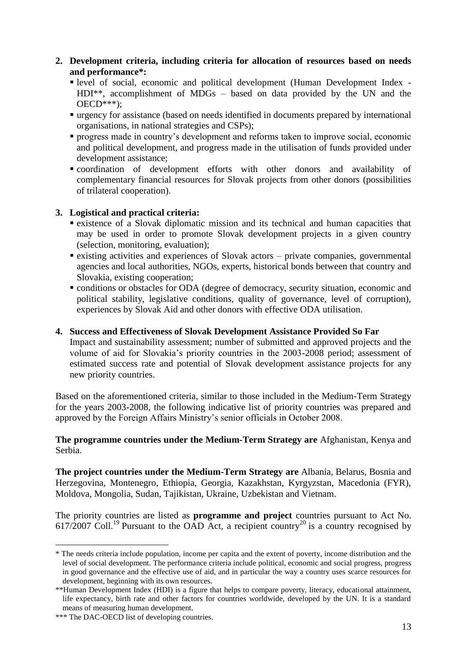## **2. Development criteria, including criteria for allocation of resources based on needs and performance\*:**

- level of social, economic and political development (Human Development Index HDI\*\*, accomplishment of MDGs – based on data provided by the UN and the  $OECD***$ ):
- urgency for assistance (based on needs identified in documents prepared by international organisations, in national strategies and CSPs);
- **progress made in country's development and reforms taken to improve social, economic** and political development, and progress made in the utilisation of funds provided under development assistance;
- coordination of development efforts with other donors and availability of complementary financial resources for Slovak projects from other donors (possibilities of trilateral cooperation).

## **3. Logistical and practical criteria:**

- existence of a Slovak diplomatic mission and its technical and human capacities that may be used in order to promote Slovak development projects in a given country (selection, monitoring, evaluation);
- existing activities and experiences of Slovak actors private companies, governmental agencies and local authorities, NGOs, experts, historical bonds between that country and Slovakia, existing cooperation;
- conditions or obstacles for ODA (degree of democracy, security situation, economic and political stability, legislative conditions, quality of governance, level of corruption), experiences by Slovak Aid and other donors with effective ODA utilisation.

## **4. Success and Effectiveness of Slovak Development Assistance Provided So Far**

Impact and sustainability assessment; number of submitted and approved projects and the volume of aid for Slovakia"s priority countries in the 2003-2008 period; assessment of estimated success rate and potential of Slovak development assistance projects for any new priority countries.

Based on the aforementioned criteria, similar to those included in the Medium-Term Strategy for the years 2003-2008, the following indicative list of priority countries was prepared and approved by the Foreign Affairs Ministry"s senior officials in October 2008.

### **The programme countries under the Medium-Term Strategy are** Afghanistan, Kenya and Serbia.

**The project countries under the Medium-Term Strategy are** Albania, Belarus, Bosnia and Herzegovina, Montenegro, Ethiopia, Georgia, Kazakhstan, Kyrgyzstan, Macedonia (FYR), Moldova, Mongolia, Sudan, Tajikistan, Ukraine, Uzbekistan and Vietnam.

The priority countries are listed as **programme and project** countries pursuant to Act No. 617/2007 Coll.<sup>19</sup> Pursuant to the OAD Act, a recipient country<sup>20</sup> is a country recognised by

<sup>\*</sup> The needs criteria include population, income per capita and the extent of poverty, income distribution and the level of social development. The performance criteria include political, economic and social progress, progress in good governance and the effective use of aid, and in particular the way a country uses scarce resources for development, beginning with its own resources.

<sup>\*\*</sup>Human Development Index (HDI) is a figure that helps to compare poverty, literacy, educational attainment, life expectancy, birth rate and other factors for countries worldwide, developed by the UN. It is a standard means of measuring human development.

<sup>\*\*\*</sup> The DAC-OECD list of developing countries.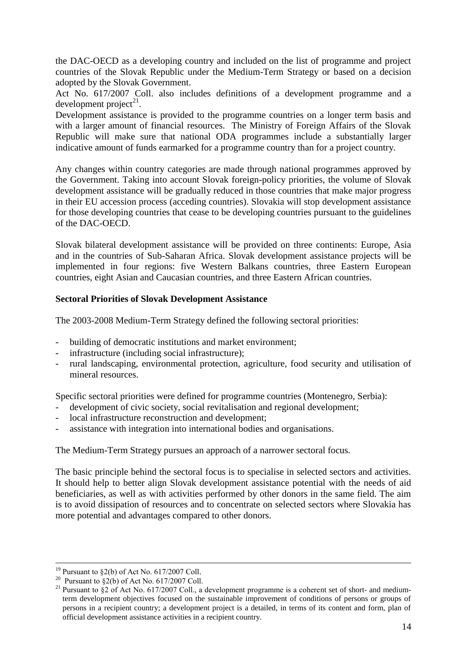the DAC-OECD as a developing country and included on the list of programme and project countries of the Slovak Republic under the Medium-Term Strategy or based on a decision adopted by the Slovak Government.

Act No. 617/2007 Coll. also includes definitions of a development programme and a development project $^{21}$ .

Development assistance is provided to the programme countries on a longer term basis and with a larger amount of financial resources. The Ministry of Foreign Affairs of the Slovak Republic will make sure that national ODA programmes include a substantially larger indicative amount of funds earmarked for a programme country than for a project country.

Any changes within country categories are made through national programmes approved by the Government. Taking into account Slovak foreign-policy priorities, the volume of Slovak development assistance will be gradually reduced in those countries that make major progress in their EU accession process (acceding countries). Slovakia will stop development assistance for those developing countries that cease to be developing countries pursuant to the guidelines of the DAC-OECD.

Slovak bilateral development assistance will be provided on three continents: Europe, Asia and in the countries of Sub-Saharan Africa. Slovak development assistance projects will be implemented in four regions: five Western Balkans countries, three Eastern European countries, eight Asian and Caucasian countries, and three Eastern African countries.

## **Sectoral Priorities of Slovak Development Assistance**

The 2003-2008 Medium-Term Strategy defined the following sectoral priorities:

- building of democratic institutions and market environment;
- infrastructure (including social infrastructure);
- rural landscaping, environmental protection, agriculture, food security and utilisation of mineral resources.

Specific sectoral priorities were defined for programme countries (Montenegro, Serbia):

- development of civic society, social revitalisation and regional development;
- local infrastructure reconstruction and development;
- assistance with integration into international bodies and organisations.

The Medium-Term Strategy pursues an approach of a narrower sectoral focus.

The basic principle behind the sectoral focus is to specialise in selected sectors and activities. It should help to better align Slovak development assistance potential with the needs of aid beneficiaries, as well as with activities performed by other donors in the same field. The aim is to avoid dissipation of resources and to concentrate on selected sectors where Slovakia has more potential and advantages compared to other donors.

 $\overline{a}$ 

<sup>&</sup>lt;sup>19</sup> Pursuant to  $\S2(b)$  of Act No. 617/2007 Coll.

<sup>&</sup>lt;sup>20</sup> Pursuant to  $\S$ 2(b) of Act No. 617/2007 Coll.

<sup>&</sup>lt;sup>21</sup> Pursuant to §2 of Act No. 617/2007 Coll., a development programme is a coherent set of short- and mediumterm development objectives focused on the sustainable improvement of conditions of persons or groups of persons in a recipient country; a development project is a detailed, in terms of its content and form, plan of official development assistance activities in a recipient country.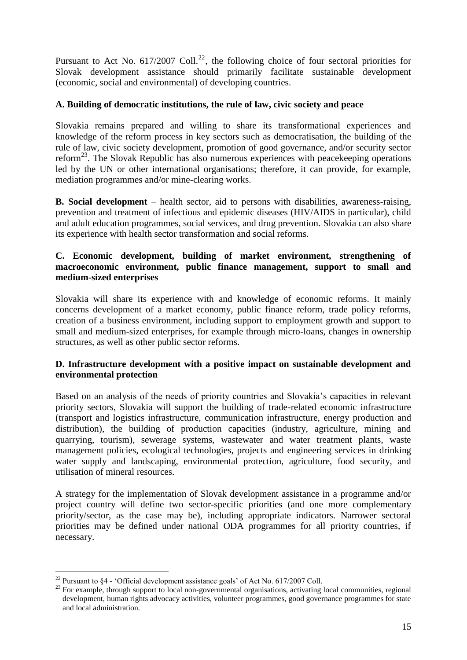Pursuant to Act No. 617/2007 Coll.<sup>22</sup>, the following choice of four sectoral priorities for Slovak development assistance should primarily facilitate sustainable development (economic, social and environmental) of developing countries.

## **A. Building of democratic institutions, the rule of law, civic society and peace**

Slovakia remains prepared and willing to share its transformational experiences and knowledge of the reform process in key sectors such as democratisation, the building of the rule of law, civic society development, promotion of good governance, and/or security sector reform<sup>23</sup>. The Slovak Republic has also numerous experiences with peace keeping operations led by the UN or other international organisations; therefore, it can provide, for example, mediation programmes and/or mine-clearing works.

**B. Social development** – health sector, aid to persons with disabilities, awareness-raising, prevention and treatment of infectious and epidemic diseases (HIV/AIDS in particular), child and adult education programmes, social services, and drug prevention. Slovakia can also share its experience with health sector transformation and social reforms.

### **C. Economic development, building of market environment, strengthening of macroeconomic environment, public finance management, support to small and medium-sized enterprises**

Slovakia will share its experience with and knowledge of economic reforms. It mainly concerns development of a market economy, public finance reform, trade policy reforms, creation of a business environment, including support to employment growth and support to small and medium-sized enterprises, for example through micro-loans, changes in ownership structures, as well as other public sector reforms.

### **D. Infrastructure development with a positive impact on sustainable development and environmental protection**

Based on an analysis of the needs of priority countries and Slovakia"s capacities in relevant priority sectors, Slovakia will support the building of trade-related economic infrastructure (transport and logistics infrastructure, communication infrastructure, energy production and distribution), the building of production capacities (industry, agriculture, mining and quarrying, tourism), sewerage systems, wastewater and water treatment plants, waste management policies, ecological technologies, projects and engineering services in drinking water supply and landscaping, environmental protection, agriculture, food security, and utilisation of mineral resources.

A strategy for the implementation of Slovak development assistance in a programme and/or project country will define two sector-specific priorities (and one more complementary priority/sector, as the case may be), including appropriate indicators. Narrower sectoral priorities may be defined under national ODA programmes for all priority countries, if necessary.

<sup>1</sup> <sup>22</sup> Pursuant to §4 - 'Official development assistance goals' of Act No. 617/2007 Coll.

<sup>&</sup>lt;sup>23</sup> For example, through support to local non-governmental organisations, activating local communities, regional development, human rights advocacy activities, volunteer programmes, good governance programmes for state and local administration.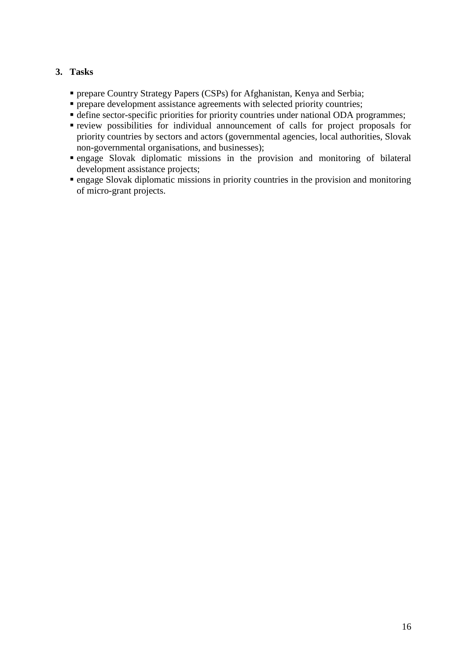## **3. Tasks**

- prepare Country Strategy Papers (CSPs) for Afghanistan, Kenya and Serbia;
- **Per prepare development assistance agreements with selected priority countries;**
- define sector-specific priorities for priority countries under national ODA programmes;
- review possibilities for individual announcement of calls for project proposals for priority countries by sectors and actors (governmental agencies, local authorities, Slovak non-governmental organisations, and businesses);
- engage Slovak diplomatic missions in the provision and monitoring of bilateral development assistance projects;
- engage Slovak diplomatic missions in priority countries in the provision and monitoring of micro-grant projects.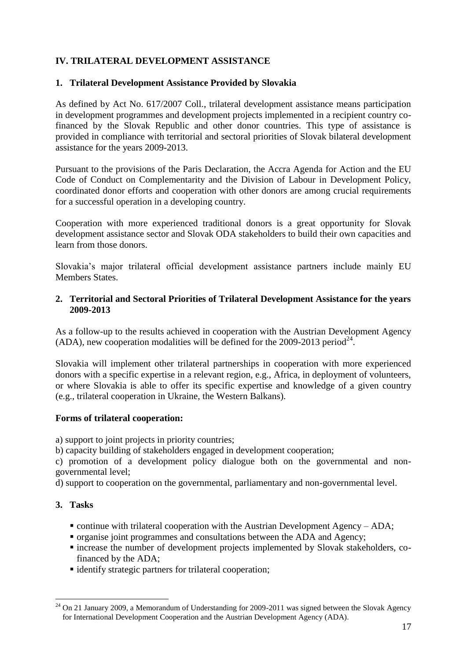## **IV. TRILATERAL DEVELOPMENT ASSISTANCE**

## **1. Trilateral Development Assistance Provided by Slovakia**

As defined by Act No. 617/2007 Coll., trilateral development assistance means participation in development programmes and development projects implemented in a recipient country cofinanced by the Slovak Republic and other donor countries. This type of assistance is provided in compliance with territorial and sectoral priorities of Slovak bilateral development assistance for the years 2009-2013.

Pursuant to the provisions of the Paris Declaration, the Accra Agenda for Action and the EU Code of Conduct on Complementarity and the Division of Labour in Development Policy, coordinated donor efforts and cooperation with other donors are among crucial requirements for a successful operation in a developing country.

Cooperation with more experienced traditional donors is a great opportunity for Slovak development assistance sector and Slovak ODA stakeholders to build their own capacities and learn from those donors.

Slovakia"s major trilateral official development assistance partners include mainly EU Members States.

## **2. Territorial and Sectoral Priorities of Trilateral Development Assistance for the years 2009-2013**

As a follow-up to the results achieved in cooperation with the Austrian Development Agency (ADA), new cooperation modalities will be defined for the 2009-2013 period<sup>24</sup>.

Slovakia will implement other trilateral partnerships in cooperation with more experienced donors with a specific expertise in a relevant region, e.g., Africa, in deployment of volunteers, or where Slovakia is able to offer its specific expertise and knowledge of a given country (e.g., trilateral cooperation in Ukraine, the Western Balkans).

## **Forms of trilateral cooperation:**

a) support to joint projects in priority countries;

b) capacity building of stakeholders engaged in development cooperation;

c) promotion of a development policy dialogue both on the governmental and nongovernmental level;

d) support to cooperation on the governmental, parliamentary and non-governmental level.

## **3. Tasks**

- $\bullet$  continue with trilateral cooperation with the Austrian Development Agency ADA;
- organise joint programmes and consultations between the ADA and Agency;
- increase the number of development projects implemented by Slovak stakeholders, cofinanced by the ADA;
- identify strategic partners for trilateral cooperation;

 $^{24}$  On 21 January 2009, a Memorandum of Understanding for 2009-2011 was signed between the Slovak Agency for International Development Cooperation and the Austrian Development Agency (ADA).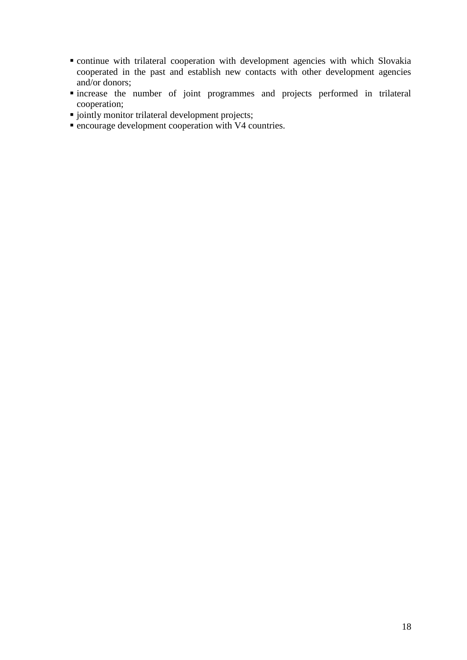- continue with trilateral cooperation with development agencies with which Slovakia cooperated in the past and establish new contacts with other development agencies and/or donors;
- increase the number of joint programmes and projects performed in trilateral cooperation;
- $\blacksquare$  jointly monitor trilateral development projects;
- encourage development cooperation with V4 countries.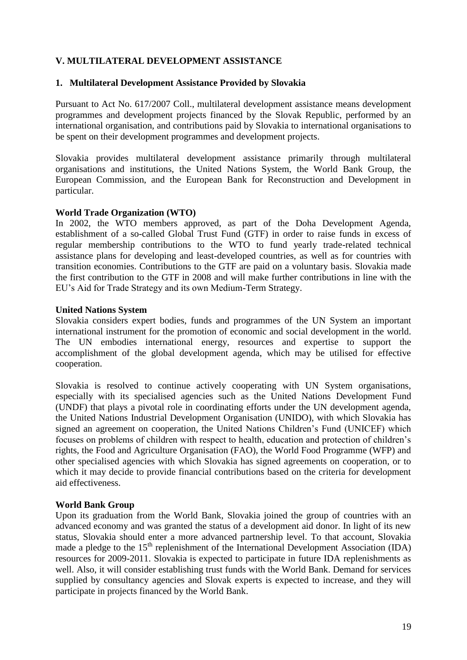## **V. MULTILATERAL DEVELOPMENT ASSISTANCE**

### **1. Multilateral Development Assistance Provided by Slovakia**

Pursuant to Act No. 617/2007 Coll., multilateral development assistance means development programmes and development projects financed by the Slovak Republic, performed by an international organisation, and contributions paid by Slovakia to international organisations to be spent on their development programmes and development projects.

Slovakia provides multilateral development assistance primarily through multilateral organisations and institutions, the United Nations System, the World Bank Group, the European Commission, and the European Bank for Reconstruction and Development in particular.

### **World Trade Organization (WTO)**

In 2002, the WTO members approved, as part of the Doha Development Agenda, establishment of a so-called Global Trust Fund (GTF) in order to raise funds in excess of regular membership contributions to the WTO to fund yearly trade-related technical assistance plans for developing and least-developed countries, as well as for countries with transition economies. Contributions to the GTF are paid on a voluntary basis. Slovakia made the first contribution to the GTF in 2008 and will make further contributions in line with the EU"s Aid for Trade Strategy and its own Medium-Term Strategy.

### **United Nations System**

Slovakia considers expert bodies, funds and programmes of the UN System an important international instrument for the promotion of economic and social development in the world. The UN embodies international energy, resources and expertise to support the accomplishment of the global development agenda, which may be utilised for effective cooperation.

Slovakia is resolved to continue actively cooperating with UN System organisations, especially with its specialised agencies such as the United Nations Development Fund (UNDF) that plays a pivotal role in coordinating efforts under the UN development agenda, the United Nations Industrial Development Organisation (UNIDO), with which Slovakia has signed an agreement on cooperation, the United Nations Children"s Fund (UNICEF) which focuses on problems of children with respect to health, education and protection of children"s rights, the Food and Agriculture Organisation (FAO), the World Food Programme (WFP) and other specialised agencies with which Slovakia has signed agreements on cooperation, or to which it may decide to provide financial contributions based on the criteria for development aid effectiveness.

## **World Bank Group**

Upon its graduation from the World Bank, Slovakia joined the group of countries with an advanced economy and was granted the status of a development aid donor. In light of its new status, Slovakia should enter a more advanced partnership level. To that account, Slovakia made a pledge to the  $15<sup>th</sup>$  replenishment of the International Development Association (IDA) resources for 2009-2011. Slovakia is expected to participate in future IDA replenishments as well. Also, it will consider establishing trust funds with the World Bank. Demand for services supplied by consultancy agencies and Slovak experts is expected to increase, and they will participate in projects financed by the World Bank.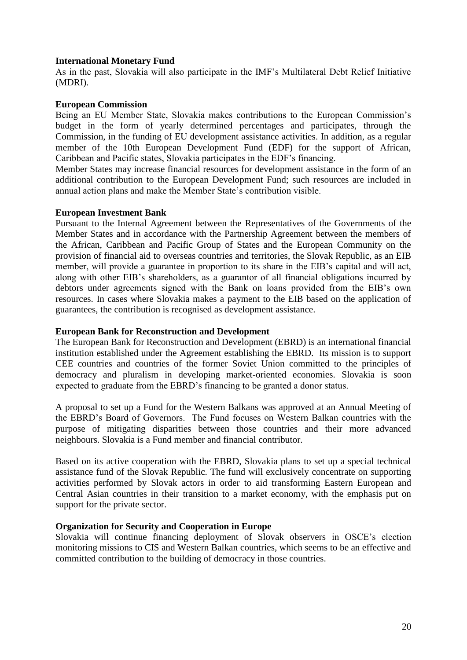### **International Monetary Fund**

As in the past, Slovakia will also participate in the IMF"s Multilateral Debt Relief Initiative (MDRI).

### **European Commission**

Being an EU Member State, Slovakia makes contributions to the European Commission"s budget in the form of yearly determined percentages and participates, through the Commission, in the funding of EU development assistance activities. In addition, as a regular member of the 10th European Development Fund (EDF) for the support of African, Caribbean and Pacific states, Slovakia participates in the EDF"s financing.

Member States may increase financial resources for development assistance in the form of an additional contribution to the European Development Fund; such resources are included in annual action plans and make the Member State"s contribution visible.

### **European Investment Bank**

Pursuant to the Internal Agreement between the Representatives of the Governments of the Member States and in accordance with the Partnership Agreement between the members of the African, Caribbean and Pacific Group of States and the European Community on the provision of financial aid to overseas countries and territories, the Slovak Republic, as an EIB member, will provide a guarantee in proportion to its share in the EIB's capital and will act, along with other EIB"s shareholders, as a guarantor of all financial obligations incurred by debtors under agreements signed with the Bank on loans provided from the EIB's own resources. In cases where Slovakia makes a payment to the EIB based on the application of guarantees, the contribution is recognised as development assistance.

### **European Bank for Reconstruction and Development**

The European Bank for Reconstruction and Development (EBRD) is an international financial institution established under the Agreement establishing the EBRD. Its mission is to support CEE countries and countries of the former Soviet Union committed to the principles of democracy and pluralism in developing market-oriented economies. Slovakia is soon expected to graduate from the EBRD"s financing to be granted a donor status.

A proposal to set up a Fund for the Western Balkans was approved at an Annual Meeting of the EBRD"s Board of Governors. The Fund focuses on Western Balkan countries with the purpose of mitigating disparities between those countries and their more advanced neighbours. Slovakia is a Fund member and financial contributor.

Based on its active cooperation with the EBRD, Slovakia plans to set up a special technical assistance fund of the Slovak Republic. The fund will exclusively concentrate on supporting activities performed by Slovak actors in order to aid transforming Eastern European and Central Asian countries in their transition to a market economy, with the emphasis put on support for the private sector.

### **Organization for Security and Cooperation in Europe**

Slovakia will continue financing deployment of Slovak observers in OSCE"s election monitoring missions to CIS and Western Balkan countries, which seems to be an effective and committed contribution to the building of democracy in those countries.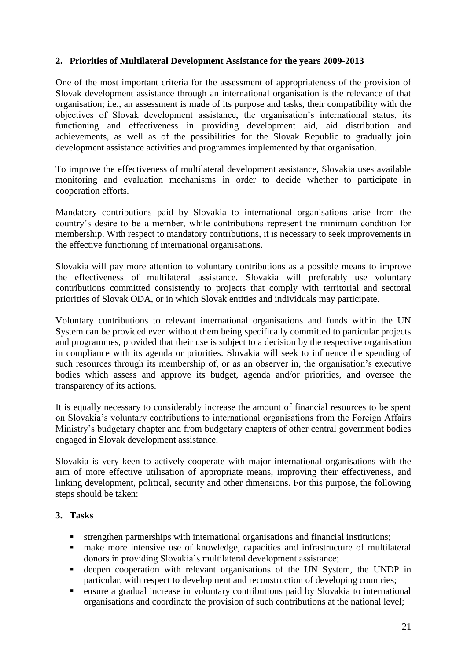## **2. Priorities of Multilateral Development Assistance for the years 2009-2013**

One of the most important criteria for the assessment of appropriateness of the provision of Slovak development assistance through an international organisation is the relevance of that organisation; i.e., an assessment is made of its purpose and tasks, their compatibility with the objectives of Slovak development assistance, the organisation"s international status, its functioning and effectiveness in providing development aid, aid distribution and achievements, as well as of the possibilities for the Slovak Republic to gradually join development assistance activities and programmes implemented by that organisation.

To improve the effectiveness of multilateral development assistance, Slovakia uses available monitoring and evaluation mechanisms in order to decide whether to participate in cooperation efforts.

Mandatory contributions paid by Slovakia to international organisations arise from the country"s desire to be a member, while contributions represent the minimum condition for membership. With respect to mandatory contributions, it is necessary to seek improvements in the effective functioning of international organisations.

Slovakia will pay more attention to voluntary contributions as a possible means to improve the effectiveness of multilateral assistance. Slovakia will preferably use voluntary contributions committed consistently to projects that comply with territorial and sectoral priorities of Slovak ODA, or in which Slovak entities and individuals may participate.

Voluntary contributions to relevant international organisations and funds within the UN System can be provided even without them being specifically committed to particular projects and programmes, provided that their use is subject to a decision by the respective organisation in compliance with its agenda or priorities. Slovakia will seek to influence the spending of such resources through its membership of, or as an observer in, the organisation's executive bodies which assess and approve its budget, agenda and/or priorities, and oversee the transparency of its actions.

It is equally necessary to considerably increase the amount of financial resources to be spent on Slovakia"s voluntary contributions to international organisations from the Foreign Affairs Ministry"s budgetary chapter and from budgetary chapters of other central government bodies engaged in Slovak development assistance.

Slovakia is very keen to actively cooperate with major international organisations with the aim of more effective utilisation of appropriate means, improving their effectiveness, and linking development, political, security and other dimensions. For this purpose, the following steps should be taken:

## **3. Tasks**

- strengthen partnerships with international organisations and financial institutions;
- make more intensive use of knowledge, capacities and infrastructure of multilateral donors in providing Slovakia"s multilateral development assistance;
- deepen cooperation with relevant organisations of the UN System, the UNDP in particular, with respect to development and reconstruction of developing countries;
- ensure a gradual increase in voluntary contributions paid by Slovakia to international organisations and coordinate the provision of such contributions at the national level;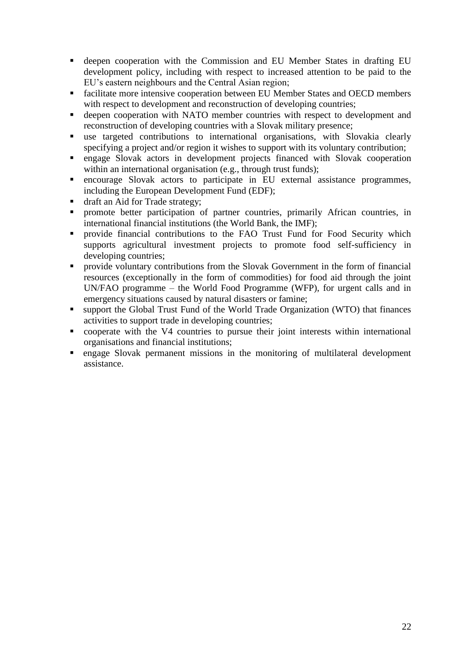- deepen cooperation with the Commission and EU Member States in drafting EU development policy, including with respect to increased attention to be paid to the EU"s eastern neighbours and the Central Asian region;
- facilitate more intensive cooperation between EU Member States and OECD members with respect to development and reconstruction of developing countries;
- deepen cooperation with NATO member countries with respect to development and reconstruction of developing countries with a Slovak military presence;
- use targeted contributions to international organisations, with Slovakia clearly specifying a project and/or region it wishes to support with its voluntary contribution;
- engage Slovak actors in development projects financed with Slovak cooperation within an international organisation (e.g., through trust funds);
- encourage Slovak actors to participate in EU external assistance programmes, including the European Development Fund (EDF);
- draft an Aid for Trade strategy;
- **Peromote** better participation of partner countries, primarily African countries, in international financial institutions (the World Bank, the IMF);
- **Perovide financial contributions to the FAO Trust Fund for Food Security which** supports agricultural investment projects to promote food self-sufficiency in developing countries;
- provide voluntary contributions from the Slovak Government in the form of financial resources (exceptionally in the form of commodities) for food aid through the joint UN/FAO programme – the World Food Programme (WFP), for urgent calls and in emergency situations caused by natural disasters or famine;
- support the Global Trust Fund of the World Trade Organization (WTO) that finances activities to support trade in developing countries;
- cooperate with the V4 countries to pursue their joint interests within international organisations and financial institutions;
- engage Slovak permanent missions in the monitoring of multilateral development assistance.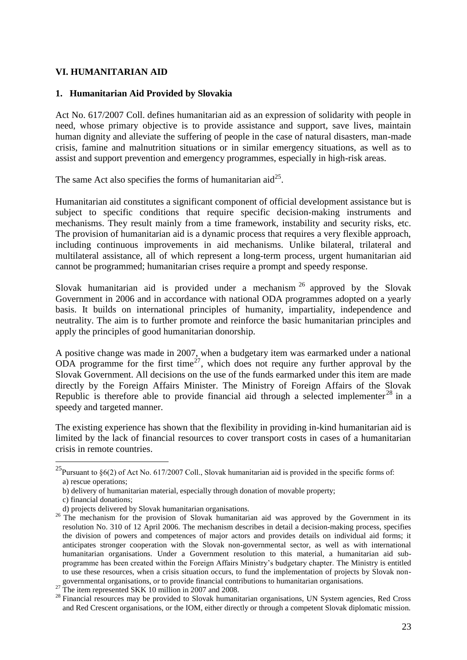## **VI. HUMANITARIAN AID**

#### **1. Humanitarian Aid Provided by Slovakia**

Act No. 617/2007 Coll. defines humanitarian aid as an expression of solidarity with people in need, whose primary objective is to provide assistance and support, save lives, maintain human dignity and alleviate the suffering of people in the case of natural disasters, man-made crisis, famine and malnutrition situations or in similar emergency situations, as well as to assist and support prevention and emergency programmes, especially in high-risk areas.

The same Act also specifies the forms of humanitarian aid<sup>25</sup>.

Humanitarian aid constitutes a significant component of official development assistance but is subject to specific conditions that require specific decision-making instruments and mechanisms. They result mainly from a time framework, instability and security risks, etc. The provision of humanitarian aid is a dynamic process that requires a very flexible approach, including continuous improvements in aid mechanisms. Unlike bilateral, trilateral and multilateral assistance, all of which represent a long-term process, urgent humanitarian aid cannot be programmed; humanitarian crises require a prompt and speedy response.

Slovak humanitarian aid is provided under a mechanism  $26$  approved by the Slovak Government in 2006 and in accordance with national ODA programmes adopted on a yearly basis. It builds on international principles of humanity, impartiality, independence and neutrality. The aim is to further promote and reinforce the basic humanitarian principles and apply the principles of good humanitarian donorship.

A positive change was made in 2007, when a budgetary item was earmarked under a national ODA programme for the first time<sup>27</sup>, which does not require any further approval by the Slovak Government. All decisions on the use of the funds earmarked under this item are made directly by the Foreign Affairs Minister. The Ministry of Foreign Affairs of the Slovak Republic is therefore able to provide financial aid through a selected implementer<sup>28</sup> in a speedy and targeted manner.

The existing experience has shown that the flexibility in providing in-kind humanitarian aid is limited by the lack of financial resources to cover transport costs in cases of a humanitarian crisis in remote countries.

<sup>&</sup>lt;sup>25</sup>Pursuant to §6(2) of Act No. 617/2007 Coll., Slovak humanitarian aid is provided in the specific forms of: a) rescue operations;

b) delivery of humanitarian material, especially through donation of movable property;

c) financial donations;

d) projects delivered by Slovak humanitarian organisations.

<sup>&</sup>lt;sup>26</sup> The mechanism for the provision of Slovak humanitarian aid was approved by the Government in its resolution No. 310 of 12 April 2006. The mechanism describes in detail a decision-making process, specifies the division of powers and competences of major actors and provides details on individual aid forms; it anticipates stronger cooperation with the Slovak non-governmental sector, as well as with international humanitarian organisations. Under a Government resolution to this material, a humanitarian aid subprogramme has been created within the Foreign Affairs Ministry"s budgetary chapter. The Ministry is entitled to use these resources, when a crisis situation occurs, to fund the implementation of projects by Slovak nongovernmental organisations, or to provide financial contributions to humanitarian organisations.

 $27$  The item represented SKK 10 million in 2007 and 2008.

<sup>&</sup>lt;sup>28</sup> Financial resources may be provided to Slovak humanitarian organisations, UN System agencies, Red Cross and Red Crescent organisations, or the IOM, either directly or through a competent Slovak diplomatic mission.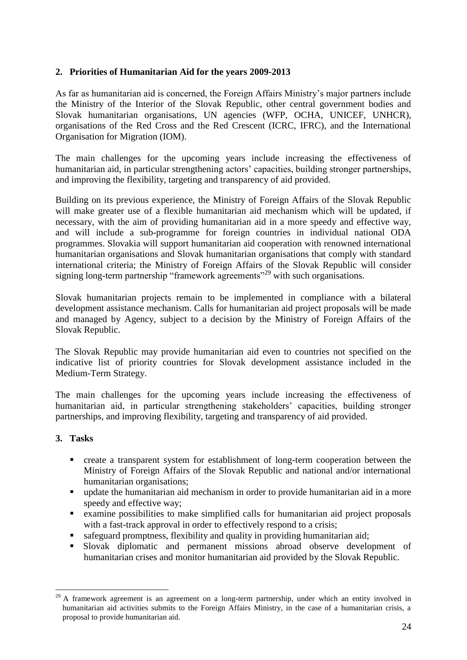## **2. Priorities of Humanitarian Aid for the years 2009-2013**

As far as humanitarian aid is concerned, the Foreign Affairs Ministry"s major partners include the Ministry of the Interior of the Slovak Republic, other central government bodies and Slovak humanitarian organisations, UN agencies (WFP, OCHA, UNICEF, UNHCR), organisations of the Red Cross and the Red Crescent (ICRC, IFRC), and the International Organisation for Migration (IOM).

The main challenges for the upcoming years include increasing the effectiveness of humanitarian aid, in particular strengthening actors' capacities, building stronger partnerships, and improving the flexibility, targeting and transparency of aid provided.

Building on its previous experience, the Ministry of Foreign Affairs of the Slovak Republic will make greater use of a flexible humanitarian aid mechanism which will be updated, if necessary, with the aim of providing humanitarian aid in a more speedy and effective way, and will include a sub-programme for foreign countries in individual national ODA programmes. Slovakia will support humanitarian aid cooperation with renowned international humanitarian organisations and Slovak humanitarian organisations that comply with standard international criteria; the Ministry of Foreign Affairs of the Slovak Republic will consider signing long-term partnership "framework agreements"<sup>29</sup> with such organisations.

Slovak humanitarian projects remain to be implemented in compliance with a bilateral development assistance mechanism. Calls for humanitarian aid project proposals will be made and managed by Agency, subject to a decision by the Ministry of Foreign Affairs of the Slovak Republic.

The Slovak Republic may provide humanitarian aid even to countries not specified on the indicative list of priority countries for Slovak development assistance included in the Medium-Term Strategy.

The main challenges for the upcoming years include increasing the effectiveness of humanitarian aid, in particular strengthening stakeholders' capacities, building stronger partnerships, and improving flexibility, targeting and transparency of aid provided.

## **3. Tasks**

<u>.</u>

- create a transparent system for establishment of long-term cooperation between the Ministry of Foreign Affairs of the Slovak Republic and national and/or international humanitarian organisations;
- update the humanitarian aid mechanism in order to provide humanitarian aid in a more speedy and effective way;
- examine possibilities to make simplified calls for humanitarian aid project proposals with a fast-track approval in order to effectively respond to a crisis;
- safeguard promptness, flexibility and quality in providing humanitarian aid;
- Slovak diplomatic and permanent missions abroad observe development of humanitarian crises and monitor humanitarian aid provided by the Slovak Republic.

<sup>&</sup>lt;sup>29</sup> A framework agreement is an agreement on a long-term partnership, under which an entity involved in humanitarian aid activities submits to the Foreign Affairs Ministry, in the case of a humanitarian crisis, a proposal to provide humanitarian aid.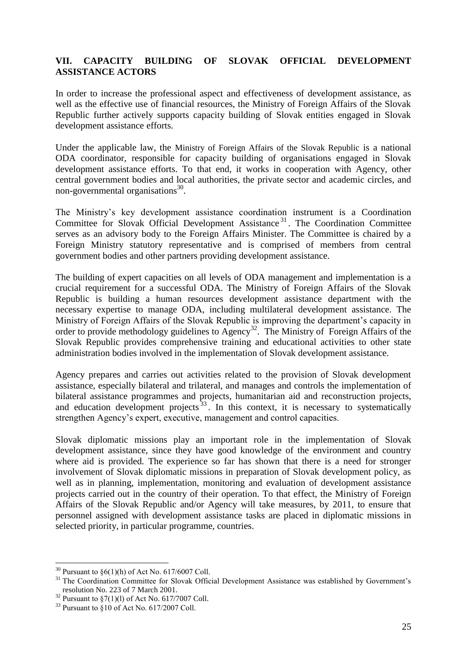### **VII. CAPACITY BUILDING OF SLOVAK OFFICIAL DEVELOPMENT ASSISTANCE ACTORS**

In order to increase the professional aspect and effectiveness of development assistance, as well as the effective use of financial resources, the Ministry of Foreign Affairs of the Slovak Republic further actively supports capacity building of Slovak entities engaged in Slovak development assistance efforts.

Under the applicable law, the Ministry of Foreign Affairs of the Slovak Republic is a national ODA coordinator, responsible for capacity building of organisations engaged in Slovak development assistance efforts. To that end, it works in cooperation with Agency, other central government bodies and local authorities, the private sector and academic circles, and non-governmental organisations $^{30}$ .

The Ministry"s key development assistance coordination instrument is a Coordination Committee for Slovak Official Development Assistance<sup>31</sup>. The Coordination Committee serves as an advisory body to the Foreign Affairs Minister. The Committee is chaired by a Foreign Ministry statutory representative and is comprised of members from central government bodies and other partners providing development assistance.

The building of expert capacities on all levels of ODA management and implementation is a crucial requirement for a successful ODA. The Ministry of Foreign Affairs of the Slovak Republic is building a human resources development assistance department with the necessary expertise to manage ODA, including multilateral development assistance. The Ministry of Foreign Affairs of the Slovak Republic is improving the department"s capacity in order to provide methodology guidelines to Agency<sup>32</sup>. The Ministry of Foreign Affairs of the Slovak Republic provides comprehensive training and educational activities to other state administration bodies involved in the implementation of Slovak development assistance.

Agency prepares and carries out activities related to the provision of Slovak development assistance, especially bilateral and trilateral, and manages and controls the implementation of bilateral assistance programmes and projects, humanitarian aid and reconstruction projects, and education development projects  $33$ . In this context, it is necessary to systematically strengthen Agency"s expert, executive, management and control capacities.

Slovak diplomatic missions play an important role in the implementation of Slovak development assistance, since they have good knowledge of the environment and country where aid is provided. The experience so far has shown that there is a need for stronger involvement of Slovak diplomatic missions in preparation of Slovak development policy, as well as in planning, implementation, monitoring and evaluation of development assistance projects carried out in the country of their operation. To that effect, the Ministry of Foreign Affairs of the Slovak Republic and/or Agency will take measures, by 2011, to ensure that personnel assigned with development assistance tasks are placed in diplomatic missions in selected priority, in particular programme, countries.

<u>.</u>

<sup>&</sup>lt;sup>30</sup> Pursuant to  $\S6(1)$ (h) of Act No. 617/6007 Coll.

<sup>&</sup>lt;sup>31</sup> The Coordination Committee for Slovak Official Development Assistance was established by Government's resolution No. 223 of 7 March 2001.

 $32$  Pursuant to  $$7(1)(1)$  of Act No. 617/7007 Coll.

 $33$  Pursuant to  $$10$  of Act No. 617/2007 Coll.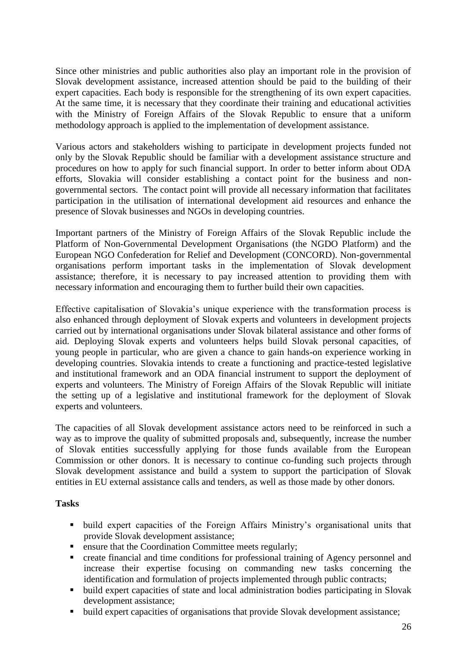Since other ministries and public authorities also play an important role in the provision of Slovak development assistance, increased attention should be paid to the building of their expert capacities. Each body is responsible for the strengthening of its own expert capacities. At the same time, it is necessary that they coordinate their training and educational activities with the Ministry of Foreign Affairs of the Slovak Republic to ensure that a uniform methodology approach is applied to the implementation of development assistance.

Various actors and stakeholders wishing to participate in development projects funded not only by the Slovak Republic should be familiar with a development assistance structure and procedures on how to apply for such financial support. In order to better inform about ODA efforts, Slovakia will consider establishing a contact point for the business and nongovernmental sectors. The contact point will provide all necessary information that facilitates participation in the utilisation of international development aid resources and enhance the presence of Slovak businesses and NGOs in developing countries.

Important partners of the Ministry of Foreign Affairs of the Slovak Republic include the Platform of Non-Governmental Development Organisations (the NGDO Platform) and the European NGO Confederation for Relief and Development (CONCORD). Non-governmental organisations perform important tasks in the implementation of Slovak development assistance; therefore, it is necessary to pay increased attention to providing them with necessary information and encouraging them to further build their own capacities.

Effective capitalisation of Slovakia"s unique experience with the transformation process is also enhanced through deployment of Slovak experts and volunteers in development projects carried out by international organisations under Slovak bilateral assistance and other forms of aid. Deploying Slovak experts and volunteers helps build Slovak personal capacities, of young people in particular, who are given a chance to gain hands-on experience working in developing countries. Slovakia intends to create a functioning and practice-tested legislative and institutional framework and an ODA financial instrument to support the deployment of experts and volunteers. The Ministry of Foreign Affairs of the Slovak Republic will initiate the setting up of a legislative and institutional framework for the deployment of Slovak experts and volunteers.

The capacities of all Slovak development assistance actors need to be reinforced in such a way as to improve the quality of submitted proposals and, subsequently, increase the number of Slovak entities successfully applying for those funds available from the European Commission or other donors. It is necessary to continue co-funding such projects through Slovak development assistance and build a system to support the participation of Slovak entities in EU external assistance calls and tenders, as well as those made by other donors.

## **Tasks**

- build expert capacities of the Foreign Affairs Ministry's organisational units that provide Slovak development assistance;
- **Exercise 1** ensure that the Coordination Committee meets regularly;
- create financial and time conditions for professional training of Agency personnel and increase their expertise focusing on commanding new tasks concerning the identification and formulation of projects implemented through public contracts;
- build expert capacities of state and local administration bodies participating in Slovak development assistance;
- build expert capacities of organisations that provide Slovak development assistance;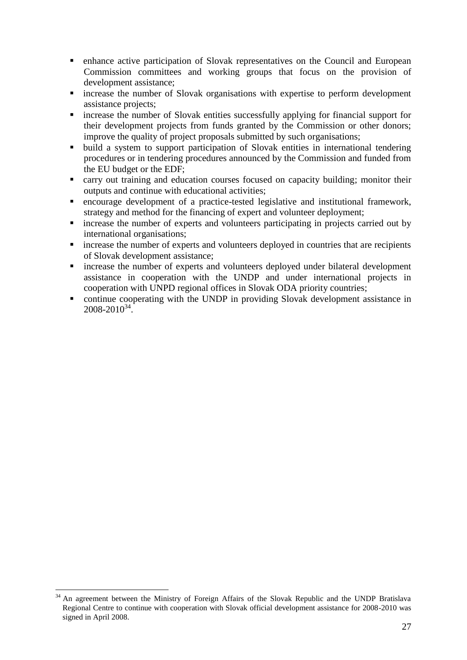- enhance active participation of Slovak representatives on the Council and European Commission committees and working groups that focus on the provision of development assistance;
- increase the number of Slovak organisations with expertise to perform development assistance projects;
- **Exercise** the number of Slovak entities successfully applying for financial support for their development projects from funds granted by the Commission or other donors; improve the quality of project proposals submitted by such organisations;
- build a system to support participation of Slovak entities in international tendering procedures or in tendering procedures announced by the Commission and funded from the EU budget or the EDF;
- carry out training and education courses focused on capacity building; monitor their outputs and continue with educational activities;
- encourage development of a practice-tested legislative and institutional framework, strategy and method for the financing of expert and volunteer deployment;
- **Exercise** the number of experts and volunteers participating in projects carried out by international organisations;
- increase the number of experts and volunteers deployed in countries that are recipients of Slovak development assistance;
- increase the number of experts and volunteers deployed under bilateral development assistance in cooperation with the UNDP and under international projects in cooperation with UNPD regional offices in Slovak ODA priority countries;
- continue cooperating with the UNDP in providing Slovak development assistance in  $2008 - 2010^{34}$ .

<sup>&</sup>lt;u>.</u> <sup>34</sup> An agreement between the Ministry of Foreign Affairs of the Slovak Republic and the UNDP Bratislava Regional Centre to continue with cooperation with Slovak official development assistance for 2008-2010 was signed in April 2008.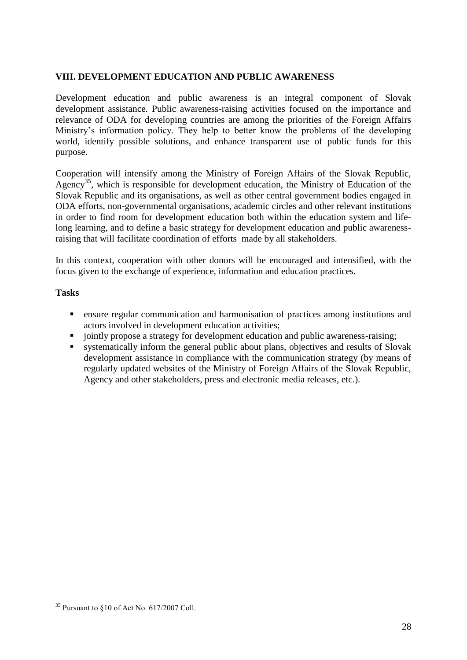## **VIII. DEVELOPMENT EDUCATION AND PUBLIC AWARENESS**

Development education and public awareness is an integral component of Slovak development assistance. Public awareness-raising activities focused on the importance and relevance of ODA for developing countries are among the priorities of the Foreign Affairs Ministry"s information policy. They help to better know the problems of the developing world, identify possible solutions, and enhance transparent use of public funds for this purpose.

Cooperation will intensify among the Ministry of Foreign Affairs of the Slovak Republic, Agency<sup>35</sup>, which is responsible for development education, the Ministry of Education of the Slovak Republic and its organisations, as well as other central government bodies engaged in ODA efforts, non-governmental organisations, academic circles and other relevant institutions in order to find room for development education both within the education system and lifelong learning, and to define a basic strategy for development education and public awarenessraising that will facilitate coordination of efforts made by all stakeholders.

In this context, cooperation with other donors will be encouraged and intensified, with the focus given to the exchange of experience, information and education practices.

## **Tasks**

- ensure regular communication and harmonisation of practices among institutions and actors involved in development education activities;
- jointly propose a strategy for development education and public awareness-raising;
- systematically inform the general public about plans, objectives and results of Slovak development assistance in compliance with the communication strategy (by means of regularly updated websites of the Ministry of Foreign Affairs of the Slovak Republic, Agency and other stakeholders, press and electronic media releases, etc.).

 $35$  Pursuant to  $\S 10$  of Act No. 617/2007 Coll.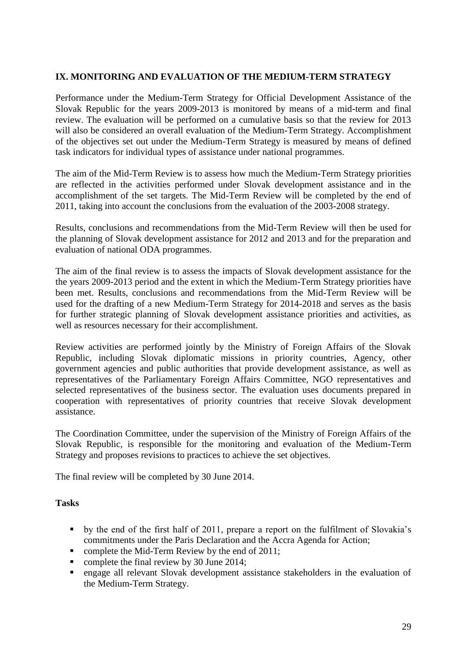## **IX. MONITORING AND EVALUATION OF THE MEDIUM-TERM STRATEGY**

Performance under the Medium-Term Strategy for Official Development Assistance of the Slovak Republic for the years 2009-2013 is monitored by means of a mid-term and final review. The evaluation will be performed on a cumulative basis so that the review for 2013 will also be considered an overall evaluation of the Medium-Term Strategy. Accomplishment of the objectives set out under the Medium-Term Strategy is measured by means of defined task indicators for individual types of assistance under national programmes.

The aim of the Mid-Term Review is to assess how much the Medium-Term Strategy priorities are reflected in the activities performed under Slovak development assistance and in the accomplishment of the set targets. The Mid-Term Review will be completed by the end of 2011, taking into account the conclusions from the evaluation of the 2003-2008 strategy.

Results, conclusions and recommendations from the Mid-Term Review will then be used for the planning of Slovak development assistance for 2012 and 2013 and for the preparation and evaluation of national ODA programmes.

The aim of the final review is to assess the impacts of Slovak development assistance for the the years 2009-2013 period and the extent in which the Medium-Term Strategy priorities have been met. Results, conclusions and recommendations from the Mid-Term Review will be used for the drafting of a new Medium-Term Strategy for 2014-2018 and serves as the basis for further strategic planning of Slovak development assistance priorities and activities, as well as resources necessary for their accomplishment.

Review activities are performed jointly by the Ministry of Foreign Affairs of the Slovak Republic, including Slovak diplomatic missions in priority countries, Agency, other government agencies and public authorities that provide development assistance, as well as representatives of the Parliamentary Foreign Affairs Committee, NGO representatives and selected representatives of the business sector. The evaluation uses documents prepared in cooperation with representatives of priority countries that receive Slovak development assistance.

The Coordination Committee, under the supervision of the Ministry of Foreign Affairs of the Slovak Republic, is responsible for the monitoring and evaluation of the Medium-Term Strategy and proposes revisions to practices to achieve the set objectives.

The final review will be completed by 30 June 2014.

## **Tasks**

- by the end of the first half of 2011, prepare a report on the fulfilment of Slovakia's commitments under the Paris Declaration and the Accra Agenda for Action;
- complete the Mid-Term Review by the end of 2011;
- complete the final review by 30 June 2014;
- engage all relevant Slovak development assistance stakeholders in the evaluation of the Medium-Term Strategy.